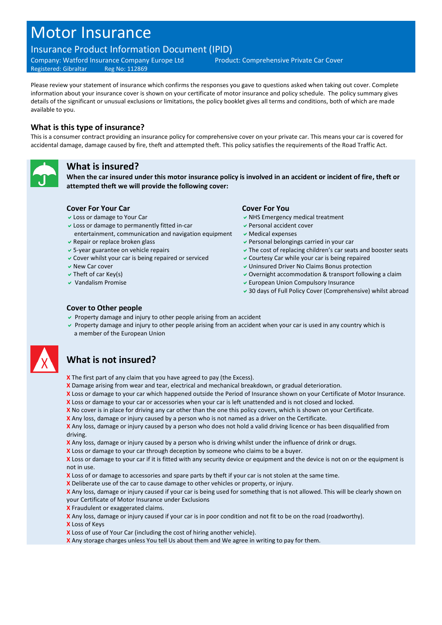# Motor Insurance

## Insurance Product Information Document (IPID)

Company: Watford Insurance Company Europe Ltd Product: Comprehensive Private Car Cover Registered: Gibraltar Reg No: 112869

Please review your statement of insurance which confirms the responses you gave to questions asked when taking out cover. Complete information about your insurance cover is shown on your certificate of motor insurance and policy schedule. The policy summary gives details of the significant or unusual exclusions or limitations, the policy booklet gives all terms and conditions, both of which are made available to you.

#### **What is this type of insurance?**

This is a consumer contract providing an insurance policy for comprehensive cover on your private car. This means your car is covered for accidental damage, damage caused by fire, theft and attempted theft. This policy satisfies the requirements of the Road Traffic Act.



#### **What is insured?**

**When the car insured under this motor insurance policy is involved in an accident or incident of fire, theft or attempted theft we will provide the following cover:**

#### **Cover For Your Car Cover For You**

- 
- Loss or damage to permanently fitted in-car
- entertainment, communication and navigation equipment
- 
- 
- Cover whilst your car is being repaired or serviced  $\vee$  Courtesy Car while your car is being repaired
- 
- 
- 

- $\vee$  Loss or damage to Your Car NHS Emergency medical treatment
	- Personal accident cover
	- Medical expenses
- $\vee$  Repair or replace broken glass Personal belongings carried in your car
- 5-year guarantee on vehicle repairs The cost of replacing children's car seats and booster seats
	-
- v New Car cover Uninsured Driver No Claims Bonus protection
- $\vee$  Theft of car Key(s)  $\vee$  Overnight accommodation & transport following a claim
- $\vee$  Vandalism Promise European Union Compulsory Insurance
	- 30 days of Full Policy Cover (Comprehensive) whilst abroad

#### **Cover to Other people**

- $\triangledown$  Property damage and injury to other people arising from an accident
- Property damage and injury to other people arising from an accident when your car is used in any country which is a member of the European Union



# **What is not insured?**

- **X** The first part of any claim that you have agreed to pay (the Excess).
- **X** Damage arising from wear and tear, electrical and mechanical breakdown, or gradual deterioration.
- **X** Loss or damage to your car which happened outside the Period of Insurance shown on your Certificate of Motor Insurance.
- **X** Loss or damage to your car or accessories when your car is left unattended and is not closed and locked.
- **X** No cover is in place for driving any car other than the one this policy covers, which is shown on your Certificate.
- **X** Any loss, damage or injury caused by a person who is not named as a driver on the Certificate.

**X** Any loss, damage or injury caused by a person who does not hold a valid driving licence or has been disqualified from driving.

**X** Any loss, damage or injury caused by a person who is driving whilst under the influence of drink or drugs.

**X** Loss or damage to your car through deception by someone who claims to be a buyer.

**X** Loss or damage to your car if it is fitted with any security device or equipment and the device is not on or the equipment is not in use.

**X** Loss of or damage to accessories and spare parts by theft if your car is not stolen at the same time.

**X** Deliberate use of the car to cause damage to other vehicles or property, or injury.

**X** Any loss, damage or injury caused if your car is being used for something that is not allowed. This will be clearly shown on your Certificate of Motor Insurance under Exclusions

**X** Fraudulent or exaggerated claims.

**X** Any loss, damage or injury caused if your car is in poor condition and not fit to be on the road (roadworthy).

- **X** Loss of Keys
- **X** Loss of use of Your Car (including the cost of hiring another vehicle).
- **X** Any storage charges unless You tell Us about them and We agree in writing to pay for them.